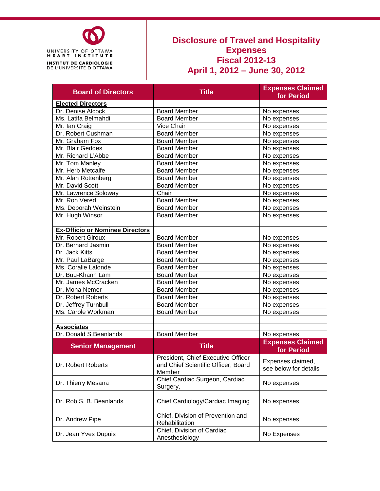

### **Disclosure of Travel and Hospitality Expenses Fiscal 2012-13 April 1, 2012 – June 30, 2012**

| <b>Board of Directors</b>              | <b>Title</b>                                                                        | <b>Expenses Claimed</b><br>for Period      |  |  |
|----------------------------------------|-------------------------------------------------------------------------------------|--------------------------------------------|--|--|
| <b>Elected Directors</b>               |                                                                                     |                                            |  |  |
| Dr. Denise Alcock                      | <b>Board Member</b>                                                                 | No expenses                                |  |  |
| Ms. Latifa Belmahdi                    | <b>Board Member</b>                                                                 | No expenses                                |  |  |
| Mr. Ian Craig                          | Vice Chair                                                                          | No expenses                                |  |  |
| Dr. Robert Cushman                     | <b>Board Member</b>                                                                 | No expenses                                |  |  |
| Mr. Graham Fox                         | <b>Board Member</b>                                                                 | No expenses                                |  |  |
| Mr. Blair Geddes                       | <b>Board Member</b>                                                                 | No expenses                                |  |  |
| Mr. Richard L'Abbe                     | <b>Board Member</b>                                                                 | No expenses                                |  |  |
| Mr. Tom Manley                         | <b>Board Member</b>                                                                 | No expenses                                |  |  |
| Mr. Herb Metcalfe                      | <b>Board Member</b>                                                                 | No expenses                                |  |  |
| Mr. Alan Rottenberg                    | <b>Board Member</b>                                                                 | No expenses                                |  |  |
| Mr. David Scott                        | <b>Board Member</b>                                                                 | No expenses                                |  |  |
| Mr. Lawrence Soloway                   | Chair                                                                               | No expenses                                |  |  |
| Mr. Ron Vered                          | <b>Board Member</b>                                                                 | No expenses                                |  |  |
| Ms. Deborah Weinstein                  | <b>Board Member</b>                                                                 | No expenses                                |  |  |
| Mr. Hugh Winsor                        | <b>Board Member</b>                                                                 | No expenses                                |  |  |
|                                        |                                                                                     |                                            |  |  |
| <b>Ex-Officio or Nominee Directors</b> |                                                                                     |                                            |  |  |
| Mr. Robert Giroux                      | <b>Board Member</b>                                                                 | No expenses                                |  |  |
| Dr. Bernard Jasmin                     | <b>Board Member</b>                                                                 | No expenses                                |  |  |
| Dr. Jack Kitts                         | <b>Board Member</b>                                                                 | No expenses                                |  |  |
| Mr. Paul LaBarge                       | <b>Board Member</b>                                                                 | No expenses                                |  |  |
| Ms. Coralie Lalonde                    | <b>Board Member</b>                                                                 | No expenses                                |  |  |
| Dr. Buu-Khanh Lam                      | <b>Board Member</b>                                                                 | No expenses                                |  |  |
| Mr. James McCracken                    | <b>Board Member</b>                                                                 | No expenses                                |  |  |
| Dr. Mona Nemer                         | <b>Board Member</b>                                                                 | No expenses                                |  |  |
| Dr. Robert Roberts                     | <b>Board Member</b>                                                                 | No expenses                                |  |  |
| Dr. Jeffrey Turnbull                   | <b>Board Member</b>                                                                 | No expenses                                |  |  |
| Ms. Carole Workman                     | <b>Board Member</b>                                                                 | No expenses                                |  |  |
|                                        |                                                                                     |                                            |  |  |
| <b>Associates</b>                      |                                                                                     |                                            |  |  |
| Dr. Donald S.Beanlands                 | <b>Board Member</b>                                                                 | No expenses                                |  |  |
| <b>Senior Management</b>               | <b>Title</b>                                                                        | <b>Expenses Claimed</b><br>for Period      |  |  |
| Dr. Robert Roberts                     | President, Chief Executive Officer<br>and Chief Scientific Officer, Board<br>Member | Expenses claimed,<br>see below for details |  |  |
| Dr. Thierry Mesana                     | Chief Cardiac Surgeon, Cardiac<br>Surgery,                                          | No expenses                                |  |  |
| Dr. Rob S. B. Beanlands                | Chief Cardiology/Cardiac Imaging                                                    | No expenses                                |  |  |
| Dr. Andrew Pipe                        | Chief, Division of Prevention and<br>Rehabilitation                                 | No expenses                                |  |  |
| Dr. Jean Yves Dupuis                   | Chief, Division of Cardiac<br>Anesthesiology                                        | No Expenses                                |  |  |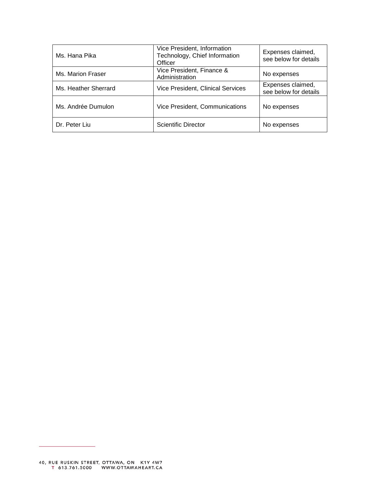| Ms. Hana Pika        | Vice President, Information<br>Technology, Chief Information<br>Officer | Expenses claimed,<br>see below for details |
|----------------------|-------------------------------------------------------------------------|--------------------------------------------|
| Ms. Marion Fraser    | Vice President, Finance &<br>Administration                             | No expenses                                |
| Ms. Heather Sherrard | Vice President, Clinical Services                                       | Expenses claimed,<br>see below for details |
| Ms. Andrée Dumulon   | Vice President, Communications                                          | No expenses                                |
| Dr. Peter Liu        | Scientific Director                                                     | No expenses                                |

÷.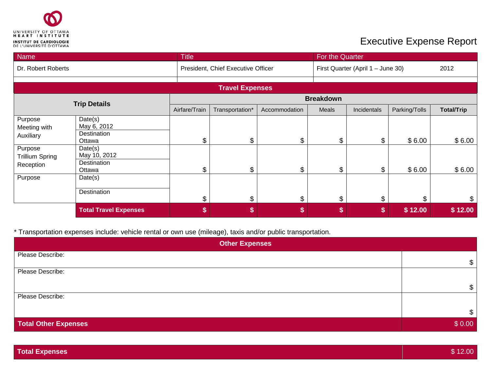

# **Executive Expense Report**

| Name                                                                                   |                                                                                                     | <b>Title</b>   |                                    |               | For the Quarter      |                                   |                  |                   |  |
|----------------------------------------------------------------------------------------|-----------------------------------------------------------------------------------------------------|----------------|------------------------------------|---------------|----------------------|-----------------------------------|------------------|-------------------|--|
| Dr. Robert Roberts                                                                     |                                                                                                     |                | President, Chief Executive Officer |               |                      | First Quarter (April 1 - June 30) |                  |                   |  |
|                                                                                        |                                                                                                     |                |                                    |               |                      |                                   |                  |                   |  |
|                                                                                        |                                                                                                     |                | <b>Travel Expenses</b>             |               |                      |                                   |                  |                   |  |
| <b>Trip Details</b>                                                                    |                                                                                                     |                | <b>Breakdown</b>                   |               |                      |                                   |                  |                   |  |
|                                                                                        |                                                                                                     | Airfare/Train  | Transportation*                    | Accommodation | Meals                | Incidentals                       | Parking/Tolls    | <b>Total/Trip</b> |  |
| Purpose<br>Meeting with<br>Auxiliary<br>Purpose<br><b>Trillium Spring</b><br>Reception | Date(s)<br>May 6, 2012<br>Destination<br>Ottawa<br>Date(s)<br>May 10, 2012<br>Destination<br>Ottawa | \$<br>\$       | \$<br>\$                           | \$<br>\$      | \$<br>$\mathfrak{L}$ | \$<br>\$                          | \$6.00<br>\$6.00 | \$6.00<br>\$6.00  |  |
| Purpose                                                                                | Date(s)<br>Destination                                                                              | $\mathfrak{L}$ | \$                                 | \$            | \$                   | \$                                | \$               | \$                |  |
|                                                                                        | <b>Total Travel Expenses</b>                                                                        | \$             | \$                                 | \$            | \$                   |                                   | \$12.00          | \$12.00           |  |

\* Transportation expenses include: vehicle rental or own use (mileage), taxis and/or public transportation.

| <b>Other Expenses</b> |        |  |  |  |
|-----------------------|--------|--|--|--|
| Please Describe:      | \$     |  |  |  |
| Please Describe:      |        |  |  |  |
|                       | \$     |  |  |  |
| Please Describe:      |        |  |  |  |
|                       | \$.    |  |  |  |
| Total Other Expenses  | \$0.00 |  |  |  |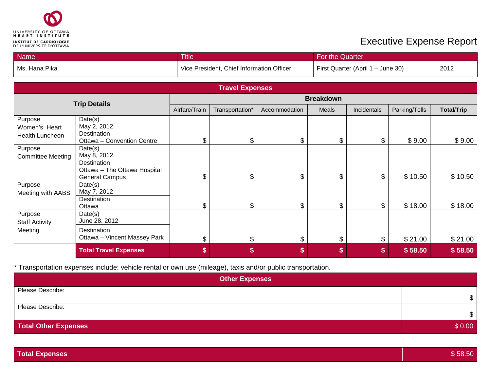

## **Executive Expense Report**

| Name                                        |                                                       | For the Quarter<br><b>Title</b> |                                           |               |                  |                                   |               |                   |  |
|---------------------------------------------|-------------------------------------------------------|---------------------------------|-------------------------------------------|---------------|------------------|-----------------------------------|---------------|-------------------|--|
| Ms. Hana Pika                               |                                                       |                                 | Vice President, Chief Information Officer |               |                  | First Quarter (April 1 - June 30) |               |                   |  |
|                                             |                                                       |                                 |                                           |               |                  |                                   |               |                   |  |
|                                             |                                                       |                                 | <b>Travel Expenses</b>                    |               |                  |                                   |               |                   |  |
|                                             |                                                       |                                 |                                           |               | <b>Breakdown</b> |                                   |               |                   |  |
|                                             | <b>Trip Details</b>                                   | Airfare/Train                   | Transportation*                           | Accommodation | Meals            | <b>Incidentals</b>                | Parking/Tolls | <b>Total/Trip</b> |  |
| Purpose<br>Women's Heart<br>Health Luncheon | Date(s)<br>May 2, 2012<br>Destination                 |                                 |                                           |               |                  |                                   |               |                   |  |
|                                             | Ottawa - Convention Centre                            | \$                              | \$                                        | \$            | \$               | \$                                | \$9.00        | \$9.00            |  |
| Purpose<br><b>Committee Meeting</b>         | Date(s)<br>May 8, 2012<br>Destination                 |                                 |                                           |               |                  |                                   |               |                   |  |
|                                             | Ottawa - The Ottawa Hospital<br><b>General Campus</b> | \$                              | \$                                        | \$            | \$               | \$                                | \$10.50       | \$10.50           |  |
| Purpose<br>Meeting with AABS                | Date(s)<br>May 7, 2012                                |                                 |                                           |               |                  |                                   |               |                   |  |
|                                             | Destination<br>Ottawa                                 | \$                              | \$                                        | \$            | \$               | \$                                | \$18.00       | \$18.00           |  |
| Purpose<br><b>Staff Activity</b>            | Date(s)<br>June 28, 2012                              |                                 |                                           |               |                  |                                   |               |                   |  |
| Meeting                                     | Destination<br>Ottawa - Vincent Massey Park           | \$                              | \$                                        | \$            | \$               | \$                                | \$21.00       | \$21.00           |  |
|                                             | <b>Total Travel Expenses</b>                          | \$                              | \$                                        | \$            | \$               | \$                                | \$58.50       | \$58.50           |  |

#### \* Transportation expenses include: vehicle rental or own use (mileage), taxis and/or public transportation.

| <b>Other Expenses</b>       |              |  |  |  |
|-----------------------------|--------------|--|--|--|
| Please Describe:            |              |  |  |  |
|                             | $\mathbb{S}$ |  |  |  |
| Please Describe:            |              |  |  |  |
|                             | $\mathbb{S}$ |  |  |  |
| <b>Total Other Expenses</b> | \$0.00       |  |  |  |